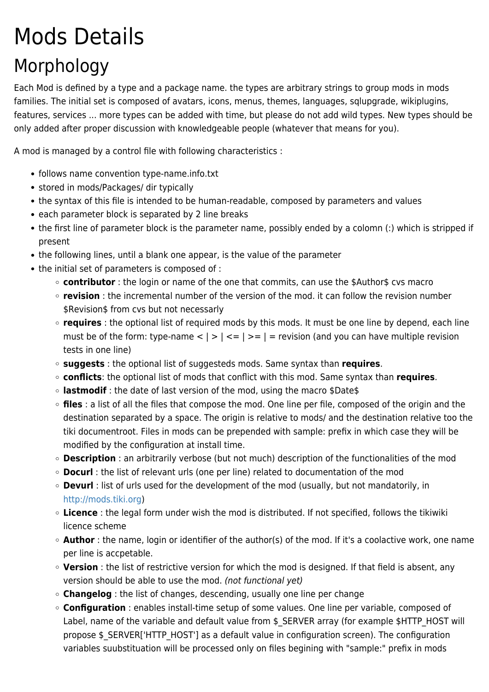# Mods Details Morphology

Each Mod is defined by a type and a package name. the types are arbitrary strings to group mods in mods families. The initial set is composed of avatars, icons, menus, themes, languages, sqlupgrade, wikiplugins, features, services ... more types can be added with time, but please do not add wild types. New types should be only added after proper discussion with knowledgeable people (whatever that means for you).

A mod is managed by a control file with following characteristics :

- follows name convention type-name.info.txt
- stored in mods/Packages/ dir typically
- the syntax of this file is intended to be human-readable, composed by parameters and values
- each parameter block is separated by 2 line breaks
- the first line of parameter block is the parameter name, possibly ended by a colomn (:) which is stripped if present
- the following lines, until a blank one appear, is the value of the parameter
- the initial set of parameters is composed of :
	- **contributor** : the login or name of the one that commits, can use the \$Author\$ cvs macro
	- **revision** : the incremental number of the version of the mod. it can follow the revision number \$Revision\$ from cys but not necessarly
	- **requires** : the optional list of required mods by this mods. It must be one line by depend, each line must be of the form: type-name  $\langle | \rangle | \langle | \rangle = | \rangle =$  = revision (and you can have multiple revision tests in one line)
	- **suggests** : the optional list of suggesteds mods. Same syntax than **requires**.
	- **conflicts**: the optional list of mods that conflict with this mod. Same syntax than **requires**.
	- **lastmodif** : the date of last version of the mod, using the macro \$Date\$
	- **files** : a list of all the files that compose the mod. One line per file, composed of the origin and the destination separated by a space. The origin is relative to mods/ and the destination relative too the tiki documentroot. Files in mods can be prepended with sample: prefix in which case they will be modified by the configuration at install time.
	- **Description** : an arbitrarily verbose (but not much) description of the functionalities of the mod
	- **Docurl** : the list of relevant urls (one per line) related to documentation of the mod
	- **Devurl** : list of urls used for the development of the mod (usually, but not mandatorily, in <http://mods.tiki.org>)
	- **Licence** : the legal form under wish the mod is distributed. If not specified, follows the tikiwiki licence scheme
	- **Author** : the name, login or identifier of the author(s) of the mod. If it's a coolactive work, one name per line is accpetable.
	- **Version** : the list of restrictive version for which the mod is designed. If that field is absent, any version should be able to use the mod. (not functional yet)
	- **Changelog** : the list of changes, descending, usually one line per change
	- **Configuration** : enables install-time setup of some values. One line per variable, composed of Label, name of the variable and default value from \$ SERVER array (for example \$HTTP\_HOST will propose \$ SERVER['HTTP\_HOST'] as a default value in configuration screen). The configuration variables suubstituation will be processed only on files begining with "sample:" prefix in mods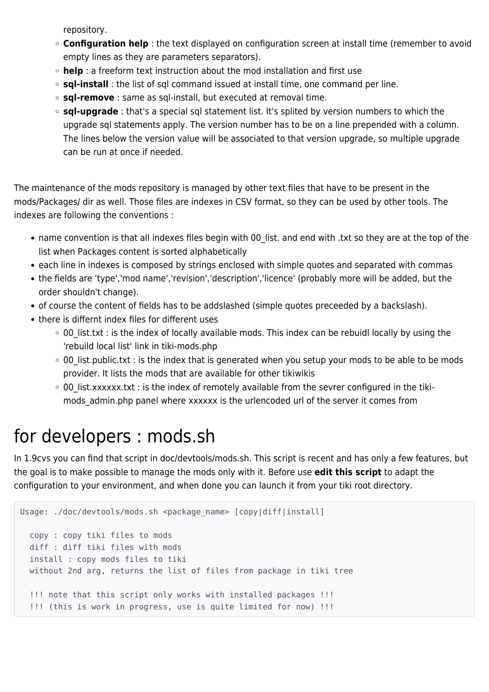repository.

- **Configuration help** : the text displayed on configuration screen at install time (remember to avoid empty lines as they are parameters separators).
- **help** : a freeform text instruction about the mod installation and first use
- **sql-install** : the list of sql command issued at install time, one command per line.
- **sql-remove** : same as sql-install, but executed at removal time.
- **sql-upgrade** : that's a special sql statement list. It's splited by version numbers to which the upgrade sql statements apply. The version number has to be on a line prepended with a column. The lines below the version value will be associated to that version upgrade, so multiple upgrade can be run at once if needed.

The maintenance of the mods repository is managed by other text files that have to be present in the mods/Packages/ dir as well. Those files are indexes in CSV format, so they can be used by other tools. The indexes are following the conventions :

- name convention is that all indexes files begin with 00 list. and end with .txt so they are at the top of the list when Packages content is sorted alphabetically
- each line in indexes is composed by strings enclosed with simple quotes and separated with commas
- the fields are 'type','mod name','revision','description','licence' (probably more will be added, but the order shouldn't change).
- of course the content of fields has to be addslashed (simple quotes preceeded by a backslash).
- there is differnt index files for different uses
	- $\circ$  00 list.txt : is the index of locally available mods. This index can be rebuidl locally by using the 'rebuild local list' link in tiki-mods.php
	- $\circ$  00 list.public.txt : is the index that is generated when you setup your mods to be able to be mods provider. It lists the mods that are available for other tikiwikis
	- $\circ$  00 list.xxxxxx.txt : is the index of remotely available from the sevrer configured in the tikimods admin.php panel where xxxxxx is the urlencoded url of the server it comes from

#### for developers : mods.sh

In 1.9cvs you can find that script in doc/devtools/mods.sh. This script is recent and has only a few features, but the goal is to make possible to manage the mods only with it. Before use **edit this script** to adapt the configuration to your environment, and when done you can launch it from your tiki root directory.

```
Usage: ./doc/devtools/mods.sh <package_name> [copy|diff|install]
  copy : copy tiki files to mods
  diff : diff tiki files with mods
  install : copy mods files to tiki
  without 2nd arg, returns the list of files from package in tiki tree
   !!! note that this script only works with installed packages !!!
   !!! (this is work in progress, use is quite limited for now) !!!
```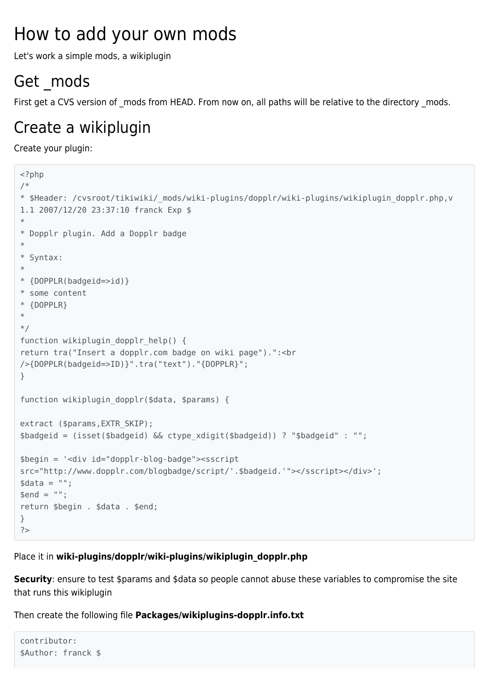### How to add your own mods

Let's work a simple mods, a wikiplugin

#### Get mods

First get a CVS version of mods from HEAD. From now on, all paths will be relative to the directory mods.

#### Create a wikiplugin

Create your plugin:

```
<?php
/*
* $Header: /cvsroot/tikiwiki/_mods/wiki-plugins/dopplr/wiki-plugins/wikiplugin_dopplr.php,v
1.1 2007/12/20 23:37:10 franck Exp $
*
* Dopplr plugin. Add a Dopplr badge
*
* Syntax:
*
* {DOPPLR(badgeid=>id)}
* some content
* {DOPPLR}
*
*/
function wikiplugin dopplr help() {
return tra("Insert a dopplr.com badge on wiki page").":<br
/>{DOPPLR(badgeid=>ID)}".tra("text")."{DOPPLR}";
}
function wikiplugin dopplr($data, $params) {
extract ($params, EXTR SKIP);
$badgeid = (isset($badgeid) && ctype_xdigit($badgeid)) ? "$badgeid" : "";
$begin = '<div id="dopplr-blog-badge"><sscript
src="http://www.dopplr.com/blogbadge/script/'.$badgeid.'"></sscript></div>';
\deltadata = "";
$end = "";return $begin . $data . $end;
}
?>
```
Place it in **wiki-plugins/dopplr/wiki-plugins/wikiplugin\_dopplr.php**

**Security**: ensure to test \$params and \$data so people cannot abuse these variables to compromise the site that runs this wikiplugin

Then create the following file **Packages/wikiplugins-dopplr.info.txt**

```
contributor:
$Author: franck $
```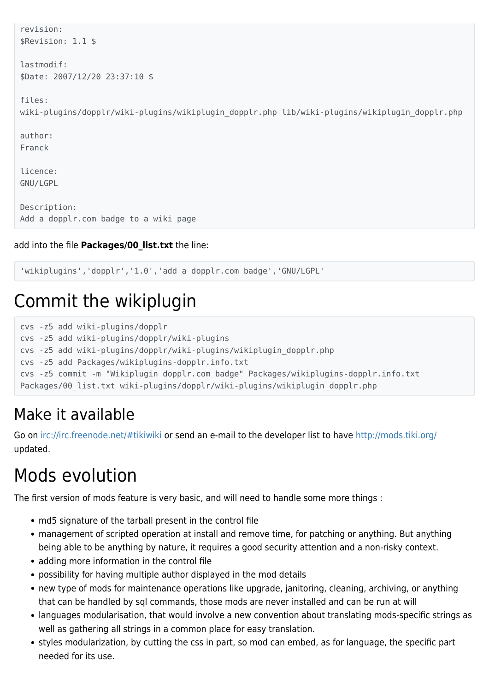```
revision:
 $Revision: 1.1 $
 lastmodif:
 $Date: 2007/12/20 23:37:10 $
 files:
 wiki-plugins/dopplr/wiki-plugins/wikiplugin dopplr.php lib/wiki-plugins/wikiplugin dopplr.php
 author:
 Franck
 licence:
 GNU/LGPL
 Description:
 Add a dopplr.com badge to a wiki page
add into the file Packages/00_list.txt the line:
```
'wikiplugins','dopplr','1.0','add a dopplr.com badge','GNU/LGPL'

## Commit the wikiplugin

```
cvs -z5 add wiki-plugins/dopplr
cvs -z5 add wiki-plugins/dopplr/wiki-plugins
cvs -z5 add wiki-plugins/dopplr/wiki-plugins/wikiplugin_dopplr.php
cvs -z5 add Packages/wikiplugins-dopplr.info.txt
cvs -z5 commit -m "Wikiplugin dopplr.com badge" Packages/wikiplugins-dopplr.info.txt
Packages/00_list.txt wiki-plugins/dopplr/wiki-plugins/wikiplugin_dopplr.php
```
#### Make it available

Go on<irc://irc.freenode.net/#tikiwiki>or send an e-mail to the developer list to have<http://mods.tiki.org/> updated.

# Mods evolution

The first version of mods feature is very basic, and will need to handle some more things :

- md5 signature of the tarball present in the control file
- management of scripted operation at install and remove time, for patching or anything. But anything being able to be anything by nature, it requires a good security attention and a non-risky context.
- adding more information in the control file
- possibility for having multiple author displayed in the mod details
- new type of mods for maintenance operations like upgrade, janitoring, cleaning, archiving, or anything that can be handled by sql commands, those mods are never installed and can be run at will
- languages modularisation, that would involve a new convention about translating mods-specific strings as well as gathering all strings in a common place for easy translation.
- styles modularization, by cutting the css in part, so mod can embed, as for language, the specific part needed for its use.